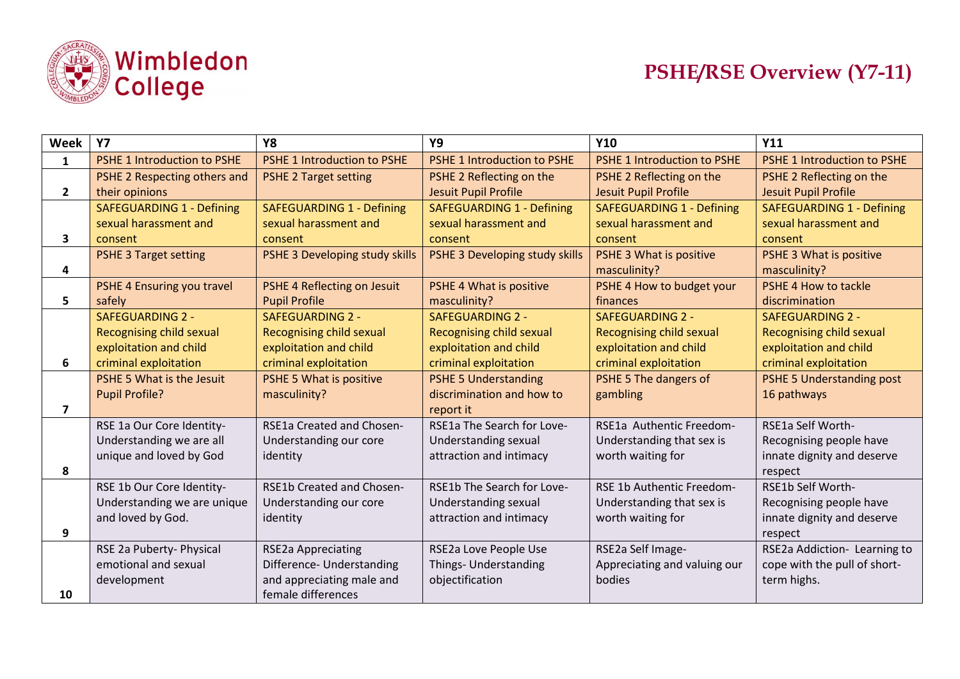

| Week                    | <b>Y7</b>                          | <b>Y8</b>                          | <b>Y9</b>                          | <b>Y10</b>                         | Y11                                |
|-------------------------|------------------------------------|------------------------------------|------------------------------------|------------------------------------|------------------------------------|
| $\mathbf{1}$            | <b>PSHE 1 Introduction to PSHE</b> | <b>PSHE 1 Introduction to PSHE</b> | <b>PSHE 1 Introduction to PSHE</b> | <b>PSHE 1 Introduction to PSHE</b> | <b>PSHE 1 Introduction to PSHE</b> |
|                         | PSHE 2 Respecting others and       | <b>PSHE 2 Target setting</b>       | PSHE 2 Reflecting on the           | PSHE 2 Reflecting on the           | PSHE 2 Reflecting on the           |
| $\mathbf{2}$            | their opinions                     |                                    | <b>Jesuit Pupil Profile</b>        | <b>Jesuit Pupil Profile</b>        | Jesuit Pupil Profile               |
|                         | <b>SAFEGUARDING 1 - Defining</b>   | <b>SAFEGUARDING 1 - Defining</b>   | <b>SAFEGUARDING 1 - Defining</b>   | <b>SAFEGUARDING 1 - Defining</b>   | <b>SAFEGUARDING 1 - Defining</b>   |
|                         | sexual harassment and              | sexual harassment and              | sexual harassment and              | sexual harassment and              | sexual harassment and              |
| 3                       | consent                            | consent                            | consent                            | consent                            | consent                            |
|                         | <b>PSHE 3 Target setting</b>       | PSHE 3 Developing study skills     | PSHE 3 Developing study skills     | PSHE 3 What is positive            | PSHE 3 What is positive            |
| 4                       |                                    |                                    |                                    | masculinity?                       | masculinity?                       |
|                         | PSHE 4 Ensuring you travel         | PSHE 4 Reflecting on Jesuit        | PSHE 4 What is positive            | PSHE 4 How to budget your          | PSHE 4 How to tackle               |
| 5.                      | safely                             | <b>Pupil Profile</b>               | masculinity?                       | finances                           | discrimination                     |
|                         | <b>SAFEGUARDING 2 -</b>            | <b>SAFEGUARDING 2 -</b>            | <b>SAFEGUARDING 2 -</b>            | <b>SAFEGUARDING 2 -</b>            | <b>SAFEGUARDING 2 -</b>            |
|                         | <b>Recognising child sexual</b>    | Recognising child sexual           | Recognising child sexual           | Recognising child sexual           | Recognising child sexual           |
|                         | exploitation and child             | exploitation and child             | exploitation and child             | exploitation and child             | exploitation and child             |
| 6                       | criminal exploitation              | criminal exploitation              | criminal exploitation              | criminal exploitation              | criminal exploitation              |
|                         | PSHE 5 What is the Jesuit          | PSHE 5 What is positive            | <b>PSHE 5 Understanding</b>        | PSHE 5 The dangers of              | <b>PSHE 5 Understanding post</b>   |
|                         | <b>Pupil Profile?</b>              | masculinity?                       | discrimination and how to          | gambling                           | 16 pathways                        |
| $\overline{\mathbf{z}}$ |                                    |                                    | report it                          |                                    |                                    |
|                         | RSE 1a Our Core Identity-          | RSE1a Created and Chosen-          | RSE1a The Search for Love-         | RSE1a Authentic Freedom-           | RSE1a Self Worth-                  |
|                         | Understanding we are all           | Understanding our core             | Understanding sexual               | Understanding that sex is          | Recognising people have            |
|                         | unique and loved by God            | identity                           | attraction and intimacy            | worth waiting for                  | innate dignity and deserve         |
| 8                       |                                    |                                    |                                    |                                    | respect                            |
|                         | RSE 1b Our Core Identity-          | <b>RSE1b Created and Chosen-</b>   | RSE1b The Search for Love-         | RSE 1b Authentic Freedom-          | RSE1b Self Worth-                  |
|                         | Understanding we are unique        | Understanding our core             | Understanding sexual               | Understanding that sex is          | Recognising people have            |
|                         | and loved by God.                  | identity                           | attraction and intimacy            | worth waiting for                  | innate dignity and deserve         |
| 9                       |                                    |                                    |                                    |                                    | respect                            |
|                         | RSE 2a Puberty- Physical           | <b>RSE2a Appreciating</b>          | RSE2a Love People Use              | RSE2a Self Image-                  | RSE2a Addiction- Learning to       |
|                         | emotional and sexual               | Difference- Understanding          | Things- Understanding              | Appreciating and valuing our       | cope with the pull of short-       |
|                         | development                        | and appreciating male and          | objectification                    | bodies                             | term highs.                        |
| 10                      |                                    | female differences                 |                                    |                                    |                                    |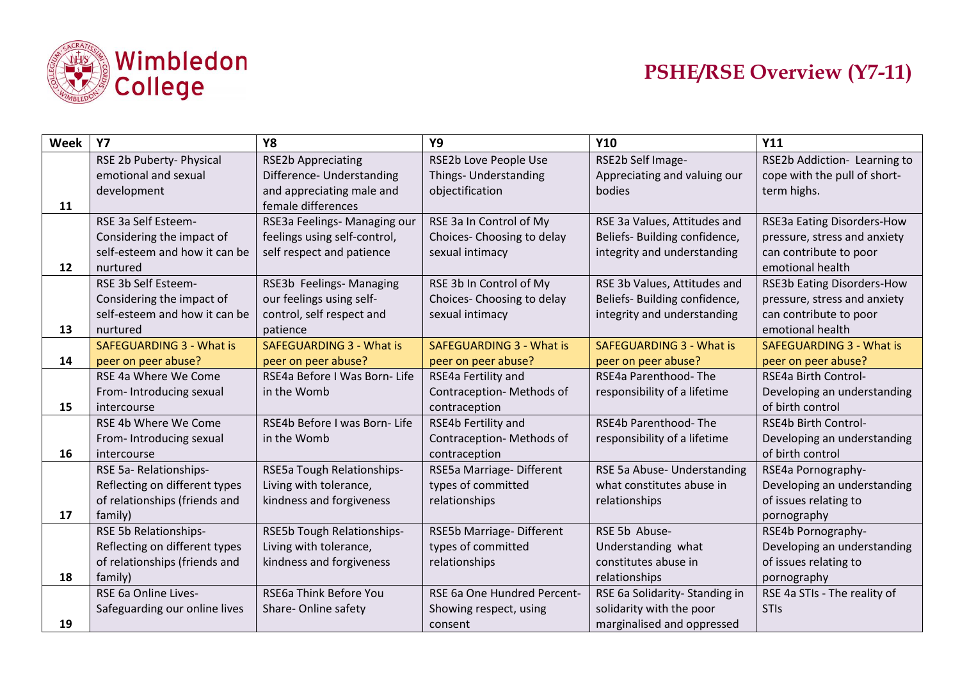

| Week | <b>Y7</b>                       | <b>Y8</b>                       | Y9                                 | <b>Y10</b>                      | Y11                               |
|------|---------------------------------|---------------------------------|------------------------------------|---------------------------------|-----------------------------------|
|      | RSE 2b Puberty- Physical        | <b>RSE2b Appreciating</b>       | RSE2b Love People Use              | RSE2b Self Image-               | RSE2b Addiction- Learning to      |
|      | emotional and sexual            | Difference- Understanding       | Things- Understanding              | Appreciating and valuing our    | cope with the pull of short-      |
|      | development                     | and appreciating male and       | objectification                    | bodies                          | term highs.                       |
| 11   |                                 | female differences              |                                    |                                 |                                   |
|      | RSE 3a Self Esteem-             | RSE3a Feelings- Managing our    | RSE 3a In Control of My            | RSE 3a Values, Attitudes and    | RSE3a Eating Disorders-How        |
|      | Considering the impact of       | feelings using self-control,    | Choices-Choosing to delay          | Beliefs- Building confidence,   | pressure, stress and anxiety      |
|      | self-esteem and how it can be   | self respect and patience       | sexual intimacy                    | integrity and understanding     | can contribute to poor            |
| 12   | nurtured                        |                                 |                                    |                                 | emotional health                  |
|      | RSE 3b Self Esteem-             | RSE3b Feelings- Managing        | RSE 3b In Control of My            | RSE 3b Values, Attitudes and    | <b>RSE3b Eating Disorders-How</b> |
|      | Considering the impact of       | our feelings using self-        | Choices-Choosing to delay          | Beliefs- Building confidence,   | pressure, stress and anxiety      |
|      | self-esteem and how it can be   | control, self respect and       | sexual intimacy                    | integrity and understanding     | can contribute to poor            |
| 13   | nurtured                        | patience                        |                                    |                                 | emotional health                  |
|      | <b>SAFEGUARDING 3 - What is</b> | <b>SAFEGUARDING 3 - What is</b> | <b>SAFEGUARDING 3 - What is</b>    | <b>SAFEGUARDING 3 - What is</b> | <b>SAFEGUARDING 3 - What is</b>   |
| 14   | peer on peer abuse?             | peer on peer abuse?             | peer on peer abuse?                | peer on peer abuse?             | peer on peer abuse?               |
|      | RSE 4a Where We Come            | RSE4a Before I Was Born- Life   | RSE4a Fertility and                | RSE4a Parenthood-The            | RSE4a Birth Control-              |
|      | From-Introducing sexual         | in the Womb                     | Contraception-Methods of           | responsibility of a lifetime    | Developing an understanding       |
| 15   | intercourse                     |                                 | contraception                      |                                 | of birth control                  |
|      | RSE 4b Where We Come            | RSE4b Before I was Born-Life    | RSE4b Fertility and                | RSE4b Parenthood-The            | <b>RSE4b Birth Control-</b>       |
|      | From-Introducing sexual         | in the Womb                     | Contraception-Methods of           | responsibility of a lifetime    | Developing an understanding       |
| 16   | intercourse                     |                                 | contraception                      |                                 | of birth control                  |
|      | RSE 5a-Relationships-           | RSE5a Tough Relationships-      | RSE5a Marriage-Different           | RSE 5a Abuse- Understanding     | RSE4a Pornography-                |
|      | Reflecting on different types   | Living with tolerance,          | types of committed                 | what constitutes abuse in       | Developing an understanding       |
|      | of relationships (friends and   | kindness and forgiveness        | relationships                      | relationships                   | of issues relating to             |
| 17   | family)                         |                                 |                                    |                                 | pornography                       |
|      | RSE 5b Relationships-           | RSE5b Tough Relationships-      | RSE5b Marriage-Different           | RSE 5b Abuse-                   | RSE4b Pornography-                |
|      | Reflecting on different types   | Living with tolerance,          | types of committed                 | Understanding what              | Developing an understanding       |
|      | of relationships (friends and   | kindness and forgiveness        | relationships                      | constitutes abuse in            | of issues relating to             |
| 18   | family)                         |                                 |                                    | relationships                   | pornography                       |
|      | RSE 6a Online Lives-            | RSE6a Think Before You          | <b>RSE 6a One Hundred Percent-</b> | RSE 6a Solidarity-Standing in   | RSE 4a STIs - The reality of      |
|      | Safeguarding our online lives   | Share-Online safety             | Showing respect, using             | solidarity with the poor        | <b>STIs</b>                       |
| 19   |                                 |                                 | consent                            | marginalised and oppressed      |                                   |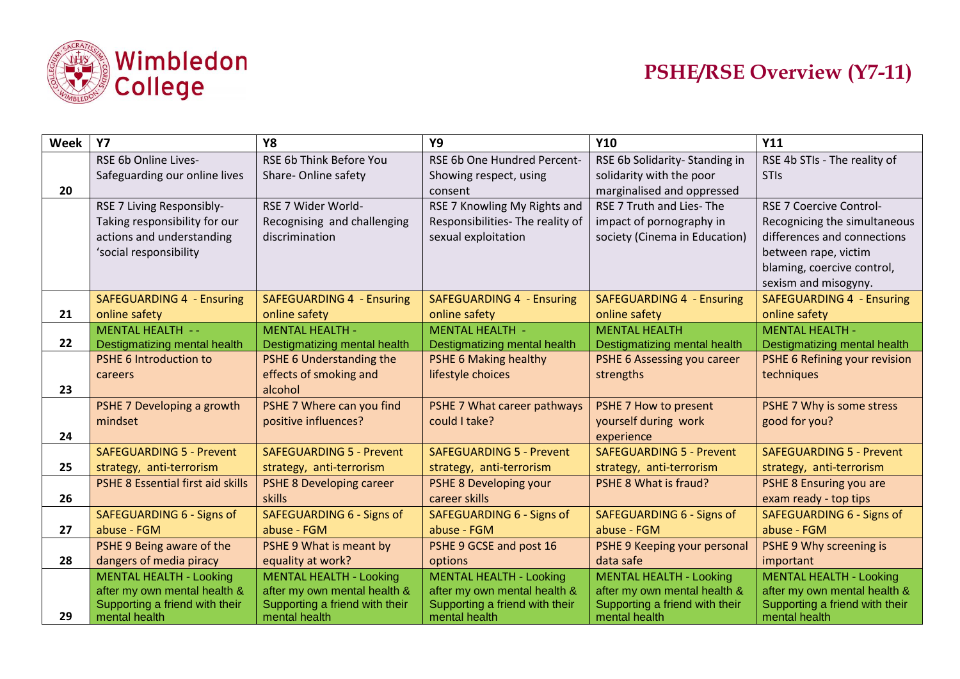

| Week | <b>Y7</b>                                | Y8                                                | <b>Y9</b>                                    | <b>Y10</b>                         | Y11                              |
|------|------------------------------------------|---------------------------------------------------|----------------------------------------------|------------------------------------|----------------------------------|
|      | RSE 6b Online Lives-                     | RSE 6b Think Before You                           | RSE 6b One Hundred Percent-                  | RSE 6b Solidarity-Standing in      | RSE 4b STIs - The reality of     |
|      | Safeguarding our online lives            | Share-Online safety                               | Showing respect, using                       | solidarity with the poor           | <b>STIs</b>                      |
| 20   |                                          |                                                   | consent                                      | marginalised and oppressed         |                                  |
|      | RSE 7 Living Responsibly-                | RSE 7 Wider World-                                | RSE 7 Knowling My Rights and                 | RSE 7 Truth and Lies-The           | <b>RSE 7 Coercive Control-</b>   |
|      | Taking responsibility for our            | Recognising and challenging                       | Responsibilities- The reality of             | impact of pornography in           | Recognicing the simultaneous     |
|      | actions and understanding                | discrimination                                    | sexual exploitation                          | society (Cinema in Education)      | differences and connections      |
|      | 'social responsibility                   |                                                   |                                              |                                    | between rape, victim             |
|      |                                          |                                                   |                                              |                                    | blaming, coercive control,       |
|      |                                          |                                                   |                                              |                                    | sexism and misogyny.             |
|      | <b>SAFEGUARDING 4 - Ensuring</b>         | <b>SAFEGUARDING 4 - Ensuring</b>                  | <b>SAFEGUARDING 4 - Ensuring</b>             | <b>SAFEGUARDING 4 - Ensuring</b>   | <b>SAFEGUARDING 4 - Ensuring</b> |
| 21   | online safety                            | online safety                                     | online safety                                | online safety                      | online safety                    |
|      | <b>MENTAL HEALTH --</b>                  | <b>MENTAL HEALTH -</b>                            | <b>MENTAL HEALTH -</b>                       | <b>MENTAL HEALTH</b>               | <b>MENTAL HEALTH -</b>           |
| 22   | Destigmatizing mental health             | Destigmatizing mental health                      | Destigmatizing mental health                 | Destigmatizing mental health       | Destigmatizing mental health     |
|      | PSHE 6 Introduction to                   | PSHE 6 Understanding the                          | PSHE 6 Making healthy                        | PSHE 6 Assessing you career        | PSHE 6 Refining your revision    |
|      | careers                                  | effects of smoking and<br>alcohol                 | lifestyle choices                            | strengths                          | techniques                       |
| 23   |                                          |                                                   |                                              |                                    |                                  |
|      | PSHE 7 Developing a growth               | PSHE 7 Where can you find<br>positive influences? | PSHE 7 What career pathways<br>could I take? | PSHE 7 How to present              | PSHE 7 Why is some stress        |
| 24   | mindset                                  |                                                   |                                              | yourself during work<br>experience | good for you?                    |
|      | <b>SAFEGUARDING 5 - Prevent</b>          | <b>SAFEGUARDING 5 - Prevent</b>                   | <b>SAFEGUARDING 5 - Prevent</b>              | <b>SAFEGUARDING 5 - Prevent</b>    | <b>SAFEGUARDING 5 - Prevent</b>  |
| 25   | strategy, anti-terrorism                 | strategy, anti-terrorism                          | strategy, anti-terrorism                     | strategy, anti-terrorism           | strategy, anti-terrorism         |
|      | <b>PSHE 8 Essential first aid skills</b> | <b>PSHE 8 Developing career</b>                   | PSHE 8 Developing your                       | PSHE 8 What is fraud?              | PSHE 8 Ensuring you are          |
| 26   |                                          | skills                                            | career skills                                |                                    | exam ready - top tips            |
|      | <b>SAFEGUARDING 6 - Signs of</b>         | SAFEGUARDING 6 - Signs of                         | SAFEGUARDING 6 - Signs of                    | SAFEGUARDING 6 - Signs of          | SAFEGUARDING 6 - Signs of        |
| 27   | abuse - FGM                              | abuse - FGM                                       | abuse - FGM                                  | abuse - FGM                        | abuse - FGM                      |
|      | PSHE 9 Being aware of the                | PSHE 9 What is meant by                           | PSHE 9 GCSE and post 16                      | PSHE 9 Keeping your personal       | PSHE 9 Why screening is          |
| 28   | dangers of media piracy                  | equality at work?                                 | options                                      | data safe                          | important                        |
|      | <b>MENTAL HEALTH - Looking</b>           | <b>MENTAL HEALTH - Looking</b>                    | <b>MENTAL HEALTH - Looking</b>               | <b>MENTAL HEALTH - Looking</b>     | <b>MENTAL HEALTH - Looking</b>   |
|      | after my own mental health &             | after my own mental health &                      | after my own mental health &                 | after my own mental health &       | after my own mental health &     |
|      | Supporting a friend with their           | Supporting a friend with their                    | Supporting a friend with their               | Supporting a friend with their     | Supporting a friend with their   |
| 29   | mental health                            | mental health                                     | mental health                                | mental health                      | mental health                    |